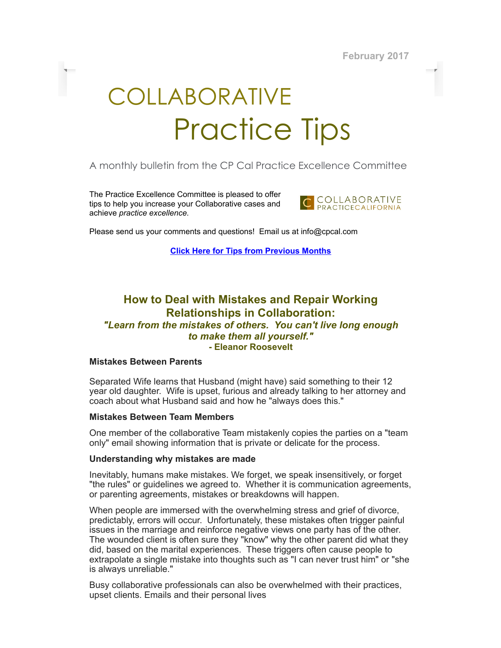February 2017

# COLLABORATIVE Practice Tips

## A monthly bulletin from the CP Cal Practice Excellence Committee

The Practice Excellence Committee is pleased to offer tips to help you increase your Collaborative cases and achieve practice excellence.



Please send us your comments and questions! Email us at info@cpcal.com

Click Here for Tips from [Previous](http://www.cpcal.com/for-professionals/practice-tips-newsletter/) Months

# How to Deal with Mistakes and Repair Working Relationships in Collaboration:

#### "Learn from the mistakes of others. You can't live long enough to make them all yourself." - Eleanor Roosevelt

## Mistakes Between Parents

Separated Wife learns that Husband (might have) said something to their 12 year old daughter. Wife is upset, furious and already talking to her attorney and coach about what Husband said and how he "always does this."

## Mistakes Between Team Members

One member of the collaborative Team mistakenly copies the parties on a "team only" email showing information that is private or delicate for the process.

## Understanding why mistakes are made

Inevitably, humans make mistakes. We forget, we speak insensitively, or forget "the rules" or guidelines we agreed to. Whether it is communication agreements, or parenting agreements, mistakes or breakdowns will happen.

When people are immersed with the overwhelming stress and grief of divorce, predictably, errors will occur. Unfortunately, these mistakes often trigger painful issues in the marriage and reinforce negative views one party has of the other. The wounded client is often sure they "know" why the other parent did what they did, based on the marital experiences. These triggers often cause people to extrapolate a single mistake into thoughts such as "I can never trust him" or "she is always unreliable."

Busy collaborative professionals can also be overwhelmed with their practices, upset clients. Emails and their personal lives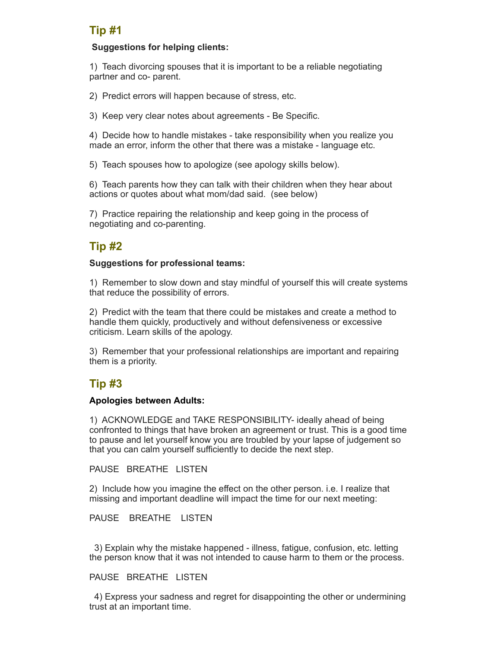# Tip #1

## Suggestions for helping clients:

1) Teach divorcing spouses that it is important to be a reliable negotiating partner and co- parent.

2) Predict errors will happen because of stress, etc.

3) Keep very clear notes about agreements - Be Specific.

4) Decide how to handle mistakes - take responsibility when you realize you made an error, inform the other that there was a mistake - language etc.

5) Teach spouses how to apologize (see apology skills below).

6) Teach parents how they can talk with their children when they hear about actions or quotes about what mom/dad said. (see below)

7) Practice repairing the relationship and keep going in the process of negotiating and co-parenting.

# Tip #2

## Suggestions for professional teams:

1) Remember to slow down and stay mindful of yourself this will create systems that reduce the possibility of errors.

2) Predict with the team that there could be mistakes and create a method to handle them quickly, productively and without defensiveness or excessive criticism. Learn skills of the apology.

3) Remember that your professional relationships are important and repairing them is a priority.

# Tip #3

## Apologies between Adults:

1) ACKNOWLEDGE and TAKE RESPONSIBILITY- ideally ahead of being confronted to things that have broken an agreement or trust. This is a good time to pause and let yourself know you are troubled by your lapse of judgement so that you can calm yourself sufficiently to decide the next step.

PAUSE BREATHE LISTEN

2) Include how you imagine the effect on the other person. i.e. I realize that missing and important deadline will impact the time for our next meeting:

PAUSE BREATHE LISTEN

3) Explain why the mistake happened - illness, fatigue, confusion, etc. letting the person know that it was not intended to cause harm to them or the process.

PAUSE BREATHE LISTEN

4) Express your sadness and regret for disappointing the other or undermining trust at an important time.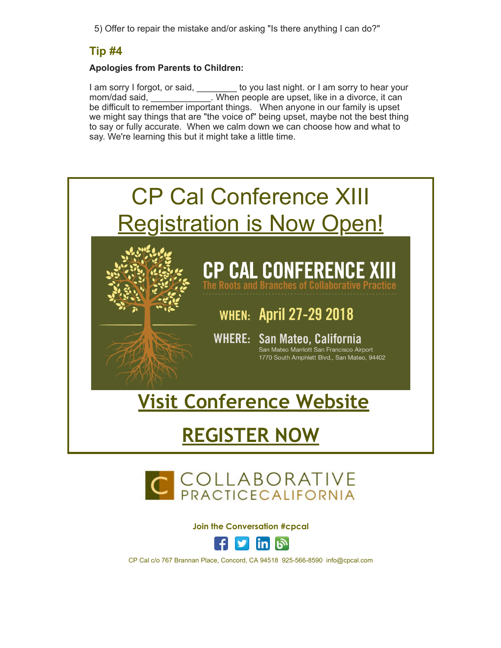5) Offer to repair the mistake and/or asking "Is there anything I can do?"

# Tip #4

## Apologies from Parents to Children:

I am sorry I forgot, or said, \_\_\_\_\_\_\_\_ to you last night. or I am sorry to hear your mom/dad said, \_\_\_\_\_\_\_\_\_\_\_\_\_. When people are upset, like in a divorce, it can be difficult to remember important things. When anyone in our family is upset we might say things that are "the voice of" being upset, maybe not the best thing to say or fully accurate. When we calm down we can choose how and what to say. We're learning this but it might take a little time.





Join the Conversation #cpcal



CP Cal c/o 767 Brannan Place, Concord, CA 94518 925-566-8590 info@cpcal.com